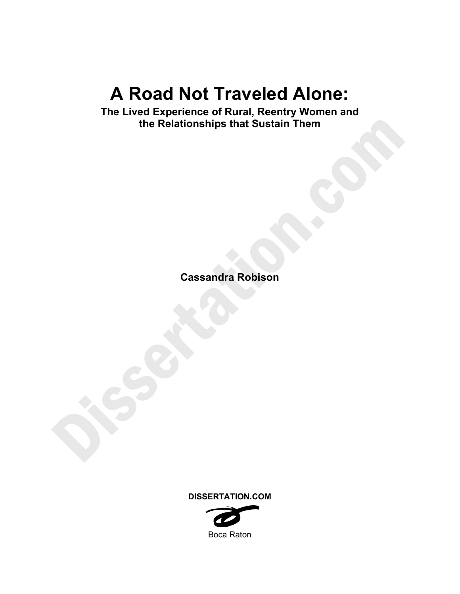# **A Road Not Traveled Alone:**

**The Lived Experience of Rural, Reentry Women and the Relationships that Sustain Them** 

**Cassandra Robison** 

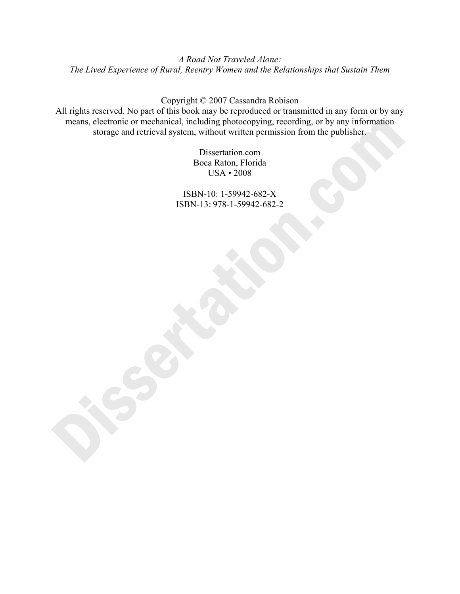*A Road Not Traveled Alone: The Lived Experience of Rural, Reentry Women and the Relationships that Sustain Them* 

Copyright © 2007 Cassandra Robison

All rights reserved. No part of this book may be reproduced or transmitted in any form or by any means, electronic or mechanical, including photocopying, recording, or by any information storage and retrieval system, without written permission from the publisher.

> Dissertation.com Boca Raton, Florida USA • 2008

ISBN-10: 1-59942-682-X ISBN-13: 978-1-59942-682-2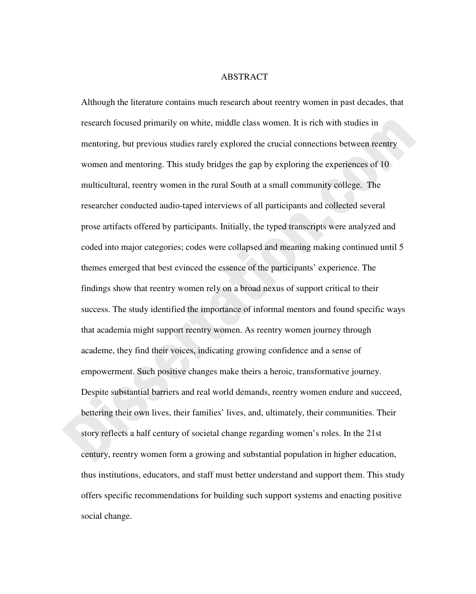## ABSTRACT

Although the literature contains much research about reentry women in past decades, that research focused primarily on white, middle class women. It is rich with studies in mentoring, but previous studies rarely explored the crucial connections between reentry women and mentoring. This study bridges the gap by exploring the experiences of 10 multicultural, reentry women in the rural South at a small community college. The researcher conducted audio-taped interviews of all participants and collected several prose artifacts offered by participants. Initially, the typed transcripts were analyzed and coded into major categories; codes were collapsed and meaning making continued until 5 themes emerged that best evinced the essence of the participants' experience. The findings show that reentry women rely on a broad nexus of support critical to their success. The study identified the importance of informal mentors and found specific ways that academia might support reentry women. As reentry women journey through academe, they find their voices, indicating growing confidence and a sense of empowerment. Such positive changes make theirs a heroic, transformative journey. Despite substantial barriers and real world demands, reentry women endure and succeed, bettering their own lives, their families' lives, and, ultimately, their communities. Their story reflects a half century of societal change regarding women's roles. In the 21st century, reentry women form a growing and substantial population in higher education, thus institutions, educators, and staff must better understand and support them. This study offers specific recommendations for building such support systems and enacting positive social change.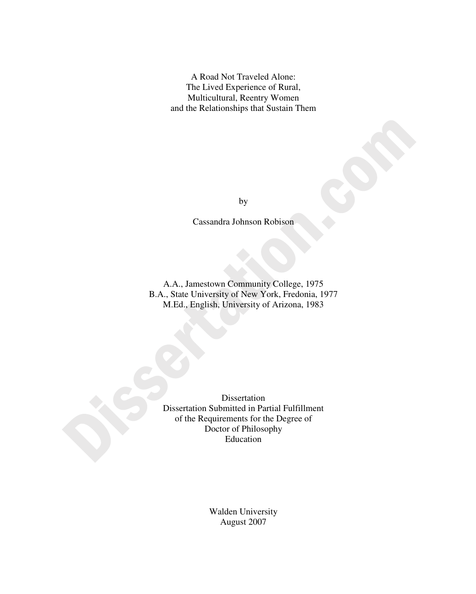A Road Not Traveled Alone: The Lived Experience of Rural, Multicultural, Reentry Women and the Relationships that Sustain Them

by

Cassandra Johnson Robison

A.A., Jamestown Community College, 1975 B.A., State University of New York, Fredonia, 1977 M.Ed., English, University of Arizona, 1983

Dissertation Dissertation Submitted in Partial Fulfillment of the Requirements for the Degree of Doctor of Philosophy Education

> Walden University August 2007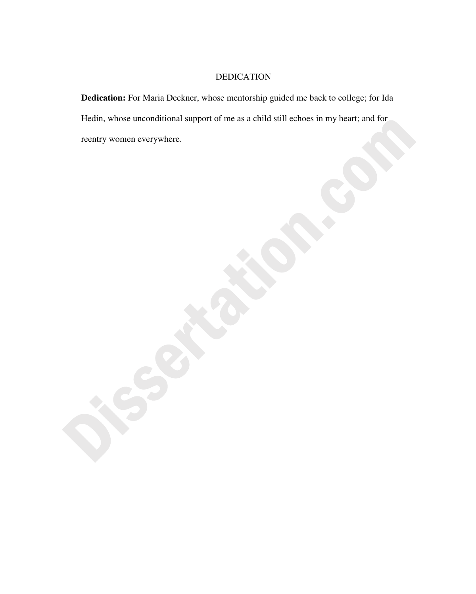# DEDICATION

**Dedication:** For Maria Deckner, whose mentorship guided me back to college; for Ida Hedin, whose unconditional support of me as a child still echoes in my heart; and for reentry women everywhere.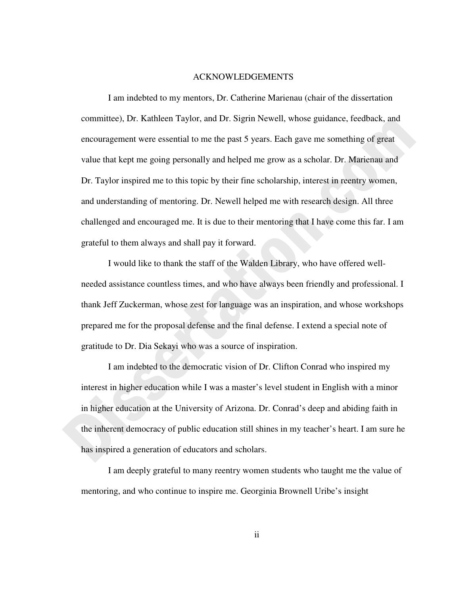#### ACKNOWLEDGEMENTS

I am indebted to my mentors, Dr. Catherine Marienau (chair of the dissertation committee), Dr. Kathleen Taylor, and Dr. Sigrin Newell, whose guidance, feedback, and encouragement were essential to me the past 5 years. Each gave me something of great value that kept me going personally and helped me grow as a scholar. Dr. Marienau and Dr. Taylor inspired me to this topic by their fine scholarship, interest in reentry women, and understanding of mentoring. Dr. Newell helped me with research design. All three challenged and encouraged me. It is due to their mentoring that I have come this far. I am grateful to them always and shall pay it forward.

I would like to thank the staff of the Walden Library, who have offered wellneeded assistance countless times, and who have always been friendly and professional. I thank Jeff Zuckerman, whose zest for language was an inspiration, and whose workshops prepared me for the proposal defense and the final defense. I extend a special note of gratitude to Dr. Dia Sekayi who was a source of inspiration.

I am indebted to the democratic vision of Dr. Clifton Conrad who inspired my interest in higher education while I was a master's level student in English with a minor in higher education at the University of Arizona. Dr. Conrad's deep and abiding faith in the inherent democracy of public education still shines in my teacher's heart. I am sure he has inspired a generation of educators and scholars.

I am deeply grateful to many reentry women students who taught me the value of mentoring, and who continue to inspire me. Georginia Brownell Uribe's insight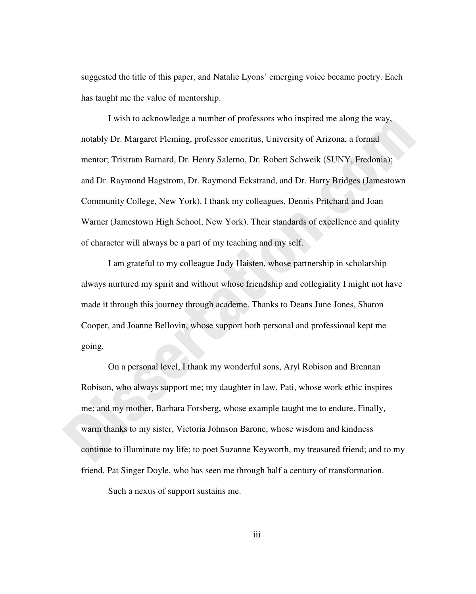suggested the title of this paper, and Natalie Lyons' emerging voice became poetry. Each has taught me the value of mentorship.

I wish to acknowledge a number of professors who inspired me along the way, notably Dr. Margaret Fleming, professor emeritus, University of Arizona, a formal mentor; Tristram Barnard, Dr. Henry Salerno, Dr. Robert Schweik (SUNY, Fredonia); and Dr. Raymond Hagstrom, Dr. Raymond Eckstrand, and Dr. Harry Bridges (Jamestown Community College, New York). I thank my colleagues, Dennis Pritchard and Joan Warner (Jamestown High School, New York). Their standards of excellence and quality of character will always be a part of my teaching and my self.

I am grateful to my colleague Judy Haisten, whose partnership in scholarship always nurtured my spirit and without whose friendship and collegiality I might not have made it through this journey through academe. Thanks to Deans June Jones, Sharon Cooper, and Joanne Bellovin, whose support both personal and professional kept me going.

On a personal level, I thank my wonderful sons, Aryl Robison and Brennan Robison, who always support me; my daughter in law, Pati, whose work ethic inspires me; and my mother, Barbara Forsberg, whose example taught me to endure. Finally, warm thanks to my sister, Victoria Johnson Barone, whose wisdom and kindness continue to illuminate my life; to poet Suzanne Keyworth, my treasured friend; and to my friend, Pat Singer Doyle, who has seen me through half a century of transformation.

Such a nexus of support sustains me.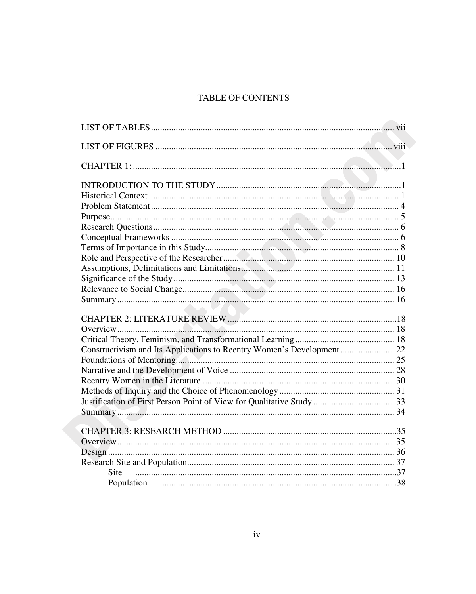# TABLE OF CONTENTS

| Constructivism and Its Applications to Reentry Women's Development 22 |  |
|-----------------------------------------------------------------------|--|
|                                                                       |  |
|                                                                       |  |
|                                                                       |  |
|                                                                       |  |
|                                                                       |  |
|                                                                       |  |
|                                                                       |  |
|                                                                       |  |
|                                                                       |  |
|                                                                       |  |
| <b>Site</b>                                                           |  |
|                                                                       |  |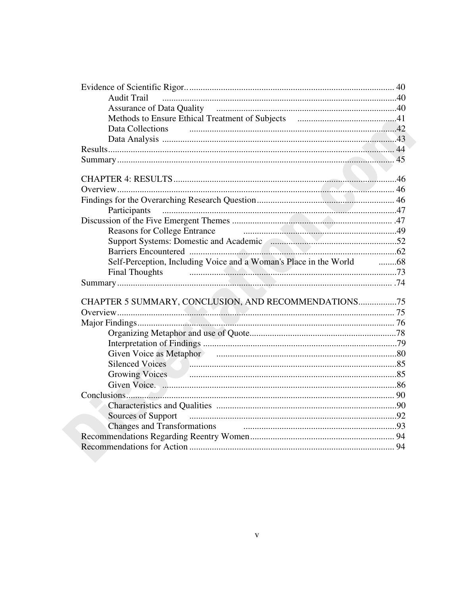| <b>Audit Trail</b>                                                   |  |
|----------------------------------------------------------------------|--|
|                                                                      |  |
|                                                                      |  |
| Data Collections                                                     |  |
|                                                                      |  |
|                                                                      |  |
|                                                                      |  |
|                                                                      |  |
|                                                                      |  |
|                                                                      |  |
|                                                                      |  |
|                                                                      |  |
|                                                                      |  |
| <b>Reasons for College Entrance</b>                                  |  |
|                                                                      |  |
|                                                                      |  |
| Self-Perception, Including Voice and a Woman's Place in the World 68 |  |
| <b>Final Thoughts</b>                                                |  |
|                                                                      |  |
|                                                                      |  |
| CHAPTER 5 SUMMARY, CONCLUSION, AND RECOMMENDATIONS75                 |  |
|                                                                      |  |
|                                                                      |  |
|                                                                      |  |
|                                                                      |  |
|                                                                      |  |
|                                                                      |  |
|                                                                      |  |
|                                                                      |  |
|                                                                      |  |
|                                                                      |  |
|                                                                      |  |
|                                                                      |  |
|                                                                      |  |
|                                                                      |  |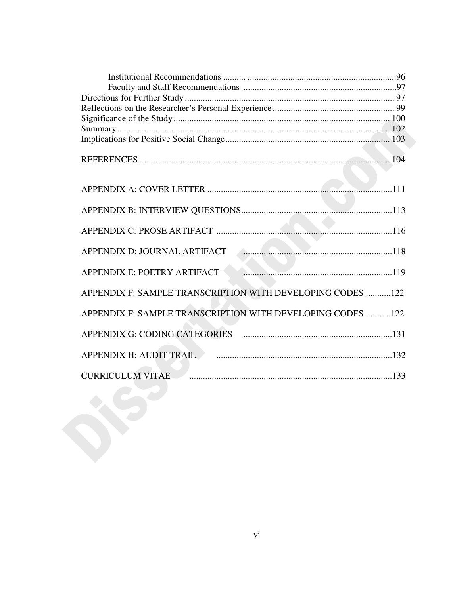| APPENDIX E: POETRY ARTIFACT <b>CONFIDENTIFICAL EXECUTES</b> |  |
|-------------------------------------------------------------|--|
| APPENDIX F: SAMPLE TRANSCRIPTION WITH DEVELOPING CODES 122  |  |
| APPENDIX F: SAMPLE TRANSCRIPTION WITH DEVELOPING CODES122   |  |
|                                                             |  |
|                                                             |  |
| <b>CURRICULUM VITAE</b>                                     |  |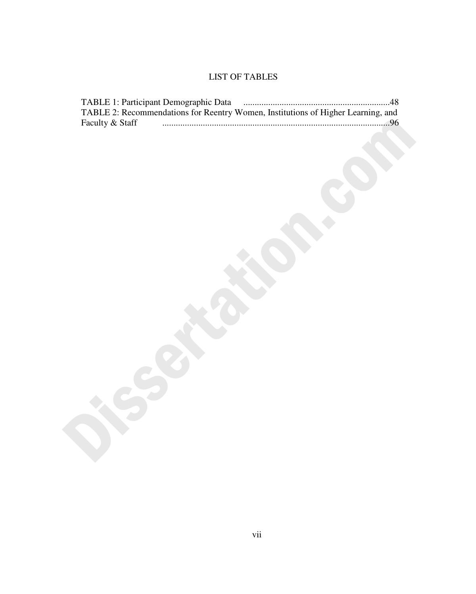# LIST OF TABLES

|                 | TABLE 2: Recommendations for Reentry Women, Institutions of Higher Learning, and |  |
|-----------------|----------------------------------------------------------------------------------|--|
| Faculty & Staff |                                                                                  |  |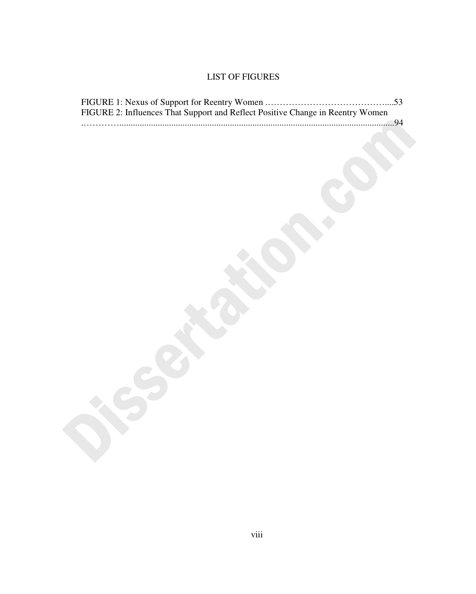# LIST OF FIGURES

| FIGURE 2: Influences That Support and Reflect Positive Change in Reentry Women |  |
|--------------------------------------------------------------------------------|--|
|                                                                                |  |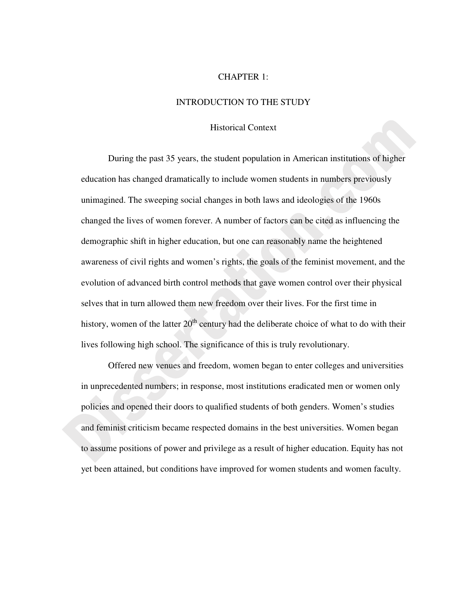## CHAPTER 1:

## INTRODUCTION TO THE STUDY

# Historical Context

During the past 35 years, the student population in American institutions of higher education has changed dramatically to include women students in numbers previously unimagined. The sweeping social changes in both laws and ideologies of the 1960s changed the lives of women forever. A number of factors can be cited as influencing the demographic shift in higher education, but one can reasonably name the heightened awareness of civil rights and women's rights, the goals of the feminist movement, and the evolution of advanced birth control methods that gave women control over their physical selves that in turn allowed them new freedom over their lives. For the first time in history, women of the latter  $20<sup>th</sup>$  century had the deliberate choice of what to do with their lives following high school. The significance of this is truly revolutionary.

Offered new venues and freedom, women began to enter colleges and universities in unprecedented numbers; in response, most institutions eradicated men or women only policies and opened their doors to qualified students of both genders. Women's studies and feminist criticism became respected domains in the best universities. Women began to assume positions of power and privilege as a result of higher education. Equity has not yet been attained, but conditions have improved for women students and women faculty.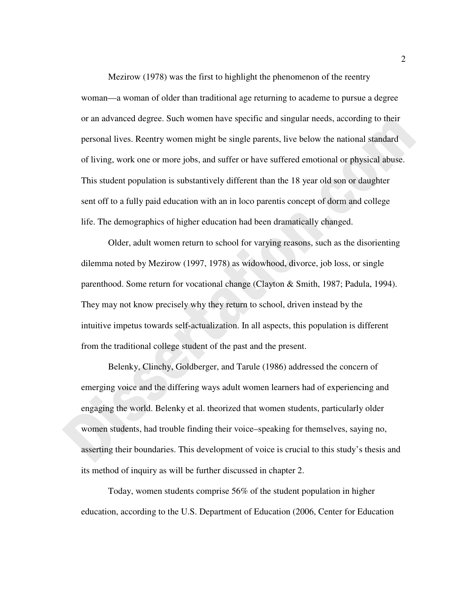Mezirow (1978) was the first to highlight the phenomenon of the reentry woman—a woman of older than traditional age returning to academe to pursue a degree or an advanced degree. Such women have specific and singular needs, according to their personal lives. Reentry women might be single parents, live below the national standard of living, work one or more jobs, and suffer or have suffered emotional or physical abuse. This student population is substantively different than the 18 year old son or daughter sent off to a fully paid education with an in loco parentis concept of dorm and college life. The demographics of higher education had been dramatically changed.

Older, adult women return to school for varying reasons, such as the disorienting dilemma noted by Mezirow (1997, 1978) as widowhood, divorce, job loss, or single parenthood. Some return for vocational change (Clayton & Smith, 1987; Padula, 1994). They may not know precisely why they return to school, driven instead by the intuitive impetus towards self-actualization. In all aspects, this population is different from the traditional college student of the past and the present.

Belenky, Clinchy, Goldberger, and Tarule (1986) addressed the concern of emerging voice and the differing ways adult women learners had of experiencing and engaging the world. Belenky et al. theorized that women students, particularly older women students, had trouble finding their voice–speaking for themselves, saying no, asserting their boundaries. This development of voice is crucial to this study's thesis and its method of inquiry as will be further discussed in chapter 2.

Today, women students comprise 56% of the student population in higher education, according to the U.S. Department of Education (2006, Center for Education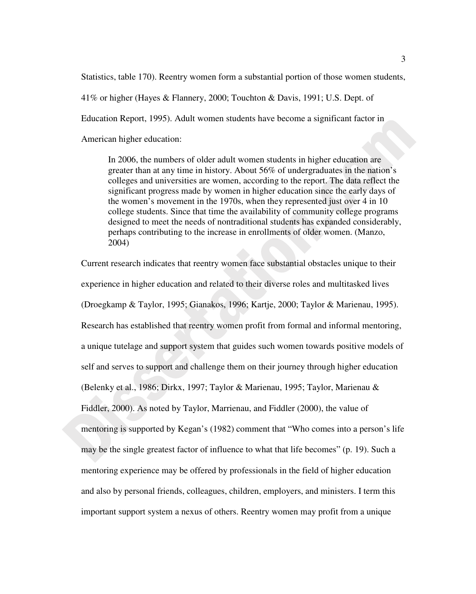Statistics, table 170). Reentry women form a substantial portion of those women students, 41% or higher (Hayes & Flannery, 2000; Touchton & Davis, 1991; U.S. Dept. of Education Report, 1995). Adult women students have become a significant factor in American higher education:

In 2006, the numbers of older adult women students in higher education are greater than at any time in history. About 56% of undergraduates in the nation's colleges and universities are women, according to the report. The data reflect the significant progress made by women in higher education since the early days of the women's movement in the 1970s, when they represented just over 4 in 10 college students. Since that time the availability of community college programs designed to meet the needs of nontraditional students has expanded considerably, perhaps contributing to the increase in enrollments of older women. (Manzo, 2004)

Current research indicates that reentry women face substantial obstacles unique to their experience in higher education and related to their diverse roles and multitasked lives (Droegkamp & Taylor, 1995; Gianakos, 1996; Kartje, 2000; Taylor & Marienau, 1995). Research has established that reentry women profit from formal and informal mentoring, a unique tutelage and support system that guides such women towards positive models of self and serves to support and challenge them on their journey through higher education (Belenky et al., 1986; Dirkx, 1997; Taylor & Marienau, 1995; Taylor, Marienau & Fiddler, 2000). As noted by Taylor, Marrienau, and Fiddler (2000), the value of mentoring is supported by Kegan's (1982) comment that "Who comes into a person's life may be the single greatest factor of influence to what that life becomes" (p. 19). Such a mentoring experience may be offered by professionals in the field of higher education and also by personal friends, colleagues, children, employers, and ministers. I term this important support system a nexus of others. Reentry women may profit from a unique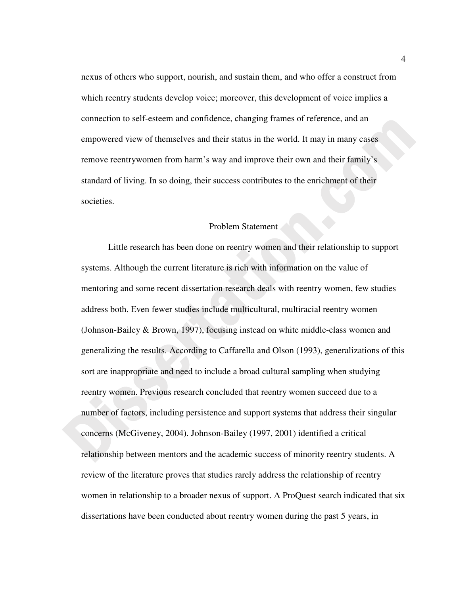nexus of others who support, nourish, and sustain them, and who offer a construct from which reentry students develop voice; moreover, this development of voice implies a connection to self-esteem and confidence, changing frames of reference, and an empowered view of themselves and their status in the world. It may in many cases remove reentrywomen from harm's way and improve their own and their family's standard of living. In so doing, their success contributes to the enrichment of their societies.

## Problem Statement

Little research has been done on reentry women and their relationship to support systems. Although the current literature is rich with information on the value of mentoring and some recent dissertation research deals with reentry women, few studies address both. Even fewer studies include multicultural, multiracial reentry women (Johnson-Bailey & Brown, 1997), focusing instead on white middle-class women and generalizing the results. According to Caffarella and Olson (1993), generalizations of this sort are inappropriate and need to include a broad cultural sampling when studying reentry women. Previous research concluded that reentry women succeed due to a number of factors, including persistence and support systems that address their singular concerns (McGiveney, 2004). Johnson-Bailey (1997, 2001) identified a critical relationship between mentors and the academic success of minority reentry students. A review of the literature proves that studies rarely address the relationship of reentry women in relationship to a broader nexus of support. A ProQuest search indicated that six dissertations have been conducted about reentry women during the past 5 years, in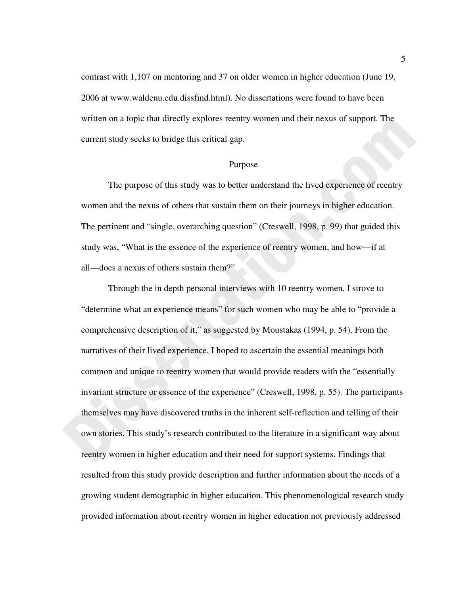contrast with 1,107 on mentoring and 37 on older women in higher education (June 19, 2006 at www.waldenu.edu.dissfind.html). No dissertations were found to have been written on a topic that directly explores reentry women and their nexus of support. The current study seeks to bridge this critical gap.

#### Purpose

The purpose of this study was to better understand the lived experience of reentry women and the nexus of others that sustain them on their journeys in higher education. The pertinent and "single, overarching question" (Creswell, 1998, p. 99) that guided this study was, "What is the essence of the experience of reentry women, and how—if at all—does a nexus of others sustain them?"

Through the in depth personal interviews with 10 reentry women, I strove to "determine what an experience means" for such women who may be able to "provide a comprehensive description of it," as suggested by Moustakas (1994, p. 54). From the narratives of their lived experience, I hoped to ascertain the essential meanings both common and unique to reentry women that would provide readers with the "essentially invariant structure or essence of the experience" (Creswell, 1998, p. 55). The participants themselves may have discovered truths in the inherent self-reflection and telling of their own stories. This study's research contributed to the literature in a significant way about reentry women in higher education and their need for support systems. Findings that resulted from this study provide description and further information about the needs of a growing student demographic in higher education. This phenomenological research study provided information about reentry women in higher education not previously addressed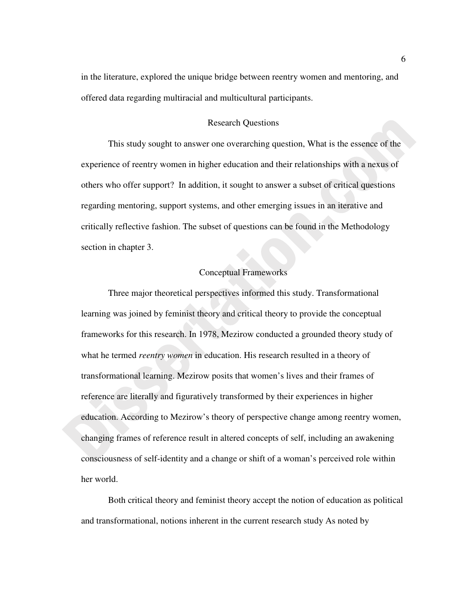in the literature, explored the unique bridge between reentry women and mentoring, and offered data regarding multiracial and multicultural participants.

# Research Questions

This study sought to answer one overarching question, What is the essence of the experience of reentry women in higher education and their relationships with a nexus of others who offer support? In addition, it sought to answer a subset of critical questions regarding mentoring, support systems, and other emerging issues in an iterative and critically reflective fashion. The subset of questions can be found in the Methodology section in chapter 3.

# Conceptual Frameworks

Three major theoretical perspectives informed this study. Transformational learning was joined by feminist theory and critical theory to provide the conceptual frameworks for this research. In 1978, Mezirow conducted a grounded theory study of what he termed *reentry women* in education. His research resulted in a theory of transformational learning. Mezirow posits that women's lives and their frames of reference are literally and figuratively transformed by their experiences in higher education. According to Mezirow's theory of perspective change among reentry women, changing frames of reference result in altered concepts of self, including an awakening consciousness of self-identity and a change or shift of a woman's perceived role within her world.

Both critical theory and feminist theory accept the notion of education as political and transformational, notions inherent in the current research study As noted by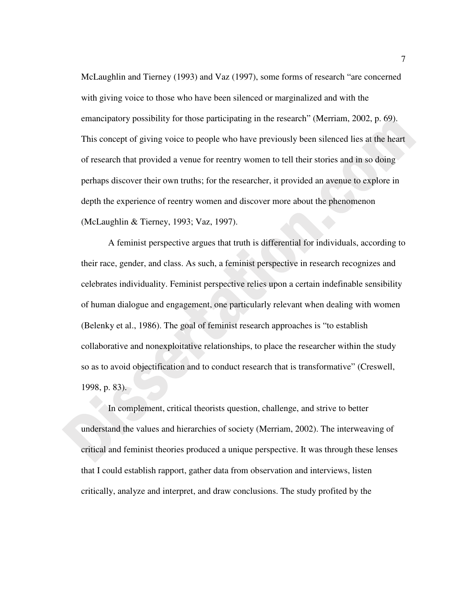McLaughlin and Tierney (1993) and Vaz (1997), some forms of research "are concerned with giving voice to those who have been silenced or marginalized and with the emancipatory possibility for those participating in the research" (Merriam, 2002, p. 69). This concept of giving voice to people who have previously been silenced lies at the heart of research that provided a venue for reentry women to tell their stories and in so doing perhaps discover their own truths; for the researcher, it provided an avenue to explore in depth the experience of reentry women and discover more about the phenomenon (McLaughlin & Tierney, 1993; Vaz, 1997).

A feminist perspective argues that truth is differential for individuals, according to their race, gender, and class. As such, a feminist perspective in research recognizes and celebrates individuality. Feminist perspective relies upon a certain indefinable sensibility of human dialogue and engagement, one particularly relevant when dealing with women (Belenky et al., 1986). The goal of feminist research approaches is "to establish collaborative and nonexploitative relationships, to place the researcher within the study so as to avoid objectification and to conduct research that is transformative" (Creswell, 1998, p. 83).

In complement, critical theorists question, challenge, and strive to better understand the values and hierarchies of society (Merriam, 2002). The interweaving of critical and feminist theories produced a unique perspective. It was through these lenses that I could establish rapport, gather data from observation and interviews, listen critically, analyze and interpret, and draw conclusions. The study profited by the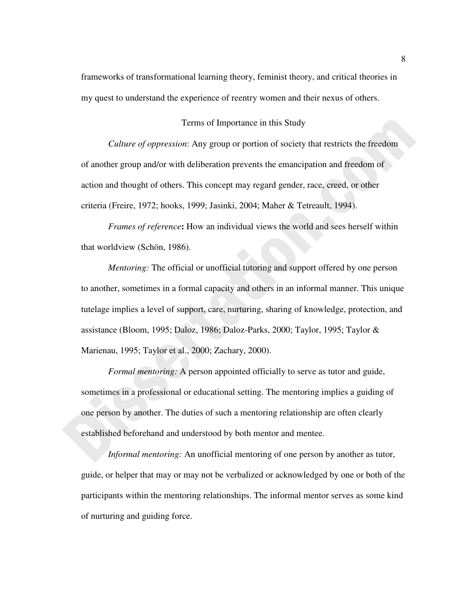frameworks of transformational learning theory, feminist theory, and critical theories in my quest to understand the experience of reentry women and their nexus of others.

# Terms of Importance in this Study

*Culture of oppression*: Any group or portion of society that restricts the freedom of another group and/or with deliberation prevents the emancipation and freedom of action and thought of others. This concept may regard gender, race, creed, or other criteria (Freire, 1972; hooks, 1999; Jasinki, 2004; Maher & Tetreault, 1994).

*Frames of reference***:** How an individual views the world and sees herself within that worldview (Schön, 1986).

*Mentoring:* The official or unofficial tutoring and support offered by one person to another, sometimes in a formal capacity and others in an informal manner. This unique tutelage implies a level of support, care, nurturing, sharing of knowledge, protection, and assistance (Bloom, 1995; Daloz, 1986; Daloz-Parks, 2000; Taylor, 1995; Taylor & Marienau, 1995; Taylor et al., 2000; Zachary, 2000).

*Formal mentoring:* A person appointed officially to serve as tutor and guide, sometimes in a professional or educational setting. The mentoring implies a guiding of one person by another. The duties of such a mentoring relationship are often clearly established beforehand and understood by both mentor and mentee.

*Informal mentoring:* An unofficial mentoring of one person by another as tutor, guide, or helper that may or may not be verbalized or acknowledged by one or both of the participants within the mentoring relationships. The informal mentor serves as some kind of nurturing and guiding force.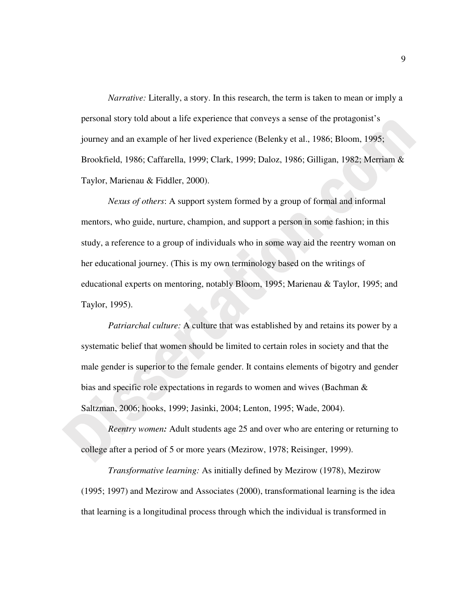*Narrative:* Literally, a story. In this research, the term is taken to mean or imply a personal story told about a life experience that conveys a sense of the protagonist's journey and an example of her lived experience (Belenky et al., 1986; Bloom, 1995; Brookfield, 1986; Caffarella, 1999; Clark, 1999; Daloz, 1986; Gilligan, 1982; Merriam & Taylor, Marienau & Fiddler, 2000).

*Nexus of others*: A support system formed by a group of formal and informal mentors, who guide, nurture, champion, and support a person in some fashion; in this study, a reference to a group of individuals who in some way aid the reentry woman on her educational journey. (This is my own terminology based on the writings of educational experts on mentoring, notably Bloom, 1995; Marienau & Taylor, 1995; and Taylor, 1995).

*Patriarchal culture:* A culture that was established by and retains its power by a systematic belief that women should be limited to certain roles in society and that the male gender is superior to the female gender. It contains elements of bigotry and gender bias and specific role expectations in regards to women and wives (Bachman & Saltzman, 2006; hooks, 1999; Jasinki, 2004; Lenton, 1995; Wade, 2004).

*Reentry women:* Adult students age 25 and over who are entering or returning to college after a period of 5 or more years (Mezirow, 1978; Reisinger, 1999).

*Transformative learning:* As initially defined by Mezirow (1978), Mezirow (1995; 1997) and Mezirow and Associates (2000), transformational learning is the idea that learning is a longitudinal process through which the individual is transformed in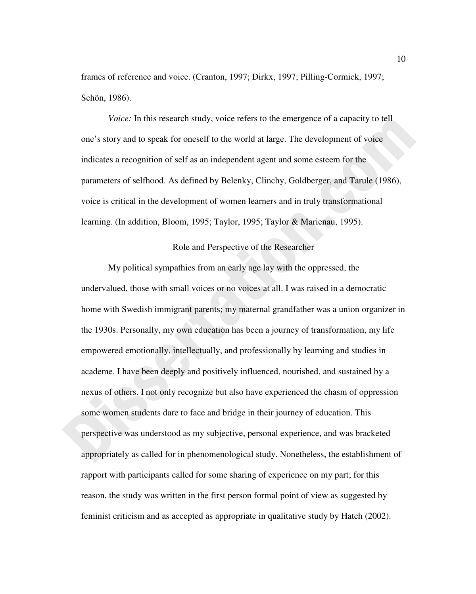frames of reference and voice. (Cranton, 1997; Dirkx, 1997; Pilling-Cormick, 1997; Schön, 1986).

*Voice:* In this research study, voice refers to the emergence of a capacity to tell one's story and to speak for oneself to the world at large. The development of voice indicates a recognition of self as an independent agent and some esteem for the parameters of selfhood. As defined by Belenky, Clinchy, Goldberger, and Tarule (1986), voice is critical in the development of women learners and in truly transformational learning. (In addition, Bloom, 1995; Taylor, 1995; Taylor & Marienau, 1995).

# Role and Perspective of the Researcher

My political sympathies from an early age lay with the oppressed, the undervalued, those with small voices or no voices at all. I was raised in a democratic home with Swedish immigrant parents; my maternal grandfather was a union organizer in the 1930s. Personally, my own education has been a journey of transformation, my life empowered emotionally, intellectually, and professionally by learning and studies in academe. I have been deeply and positively influenced, nourished, and sustained by a nexus of others. I not only recognize but also have experienced the chasm of oppression some women students dare to face and bridge in their journey of education. This perspective was understood as my subjective, personal experience, and was bracketed appropriately as called for in phenomenological study. Nonetheless, the establishment of rapport with participants called for some sharing of experience on my part; for this reason, the study was written in the first person formal point of view as suggested by feminist criticism and as accepted as appropriate in qualitative study by Hatch (2002).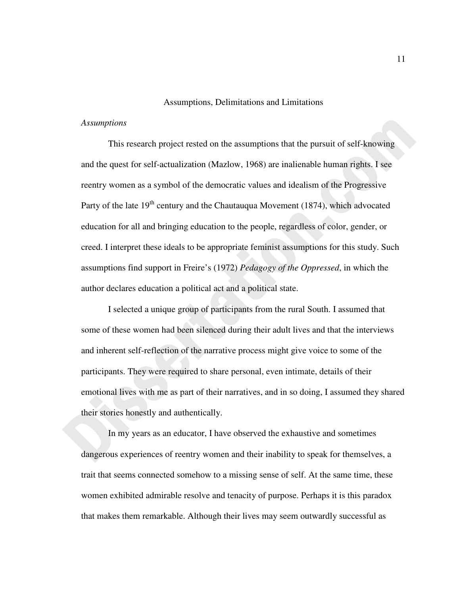#### Assumptions, Delimitations and Limitations

# *Assumptions*

This research project rested on the assumptions that the pursuit of self-knowing and the quest for self-actualization (Mazlow, 1968) are inalienable human rights. I see reentry women as a symbol of the democratic values and idealism of the Progressive Party of the late  $19<sup>th</sup>$  century and the Chautauqua Movement (1874), which advocated education for all and bringing education to the people, regardless of color, gender, or creed. I interpret these ideals to be appropriate feminist assumptions for this study. Such assumptions find support in Freire's (1972) *Pedagogy of the Oppressed*, in which the author declares education a political act and a political state.

I selected a unique group of participants from the rural South. I assumed that some of these women had been silenced during their adult lives and that the interviews and inherent self-reflection of the narrative process might give voice to some of the participants. They were required to share personal, even intimate, details of their emotional lives with me as part of their narratives, and in so doing, I assumed they shared their stories honestly and authentically.

In my years as an educator, I have observed the exhaustive and sometimes dangerous experiences of reentry women and their inability to speak for themselves, a trait that seems connected somehow to a missing sense of self. At the same time, these women exhibited admirable resolve and tenacity of purpose. Perhaps it is this paradox that makes them remarkable. Although their lives may seem outwardly successful as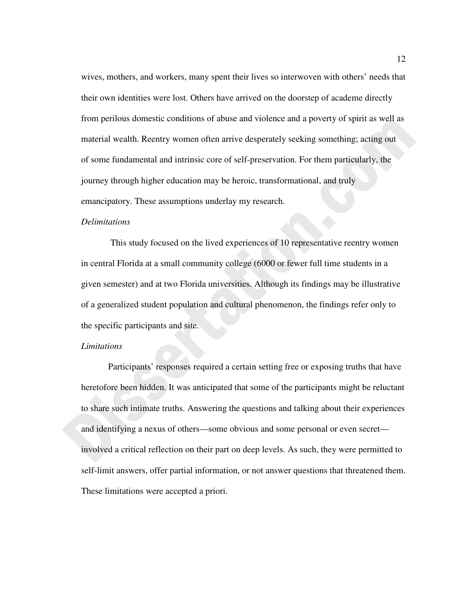wives, mothers, and workers, many spent their lives so interwoven with others' needs that their own identities were lost. Others have arrived on the doorstep of academe directly from perilous domestic conditions of abuse and violence and a poverty of spirit as well as material wealth. Reentry women often arrive desperately seeking something; acting out of some fundamental and intrinsic core of self-preservation. For them particularly, the journey through higher education may be heroic, transformational, and truly emancipatory. These assumptions underlay my research.

# *Delimitations*

This study focused on the lived experiences of 10 representative reentry women in central Florida at a small community college (6000 or fewer full time students in a given semester) and at two Florida universities. Although its findings may be illustrative of a generalized student population and cultural phenomenon, the findings refer only to the specific participants and site.

# *Limitations*

Participants' responses required a certain setting free or exposing truths that have heretofore been hidden. It was anticipated that some of the participants might be reluctant to share such intimate truths. Answering the questions and talking about their experiences and identifying a nexus of others—some obvious and some personal or even secret involved a critical reflection on their part on deep levels. As such, they were permitted to self-limit answers, offer partial information, or not answer questions that threatened them. These limitations were accepted a priori.